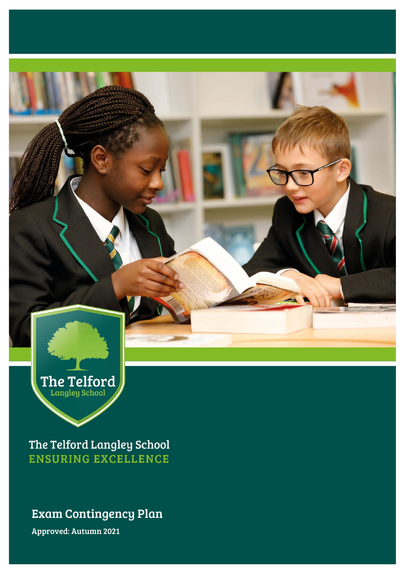

The Telford Langley School **ENSURING EXCELLENCE** 

## Exam Contingency Plan

Approved: Autumn 2021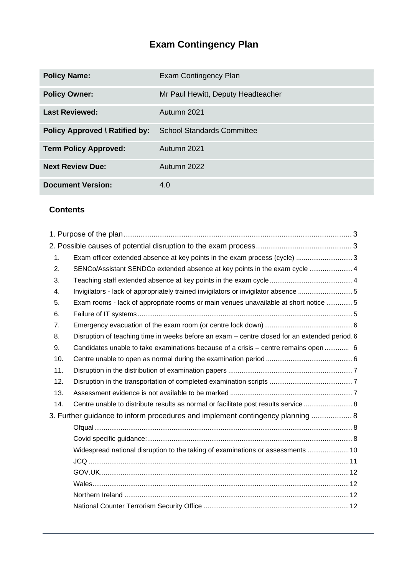# **Exam Contingency Plan**

| <b>Policy Name:</b>                   | Exam Contingency Plan              |
|---------------------------------------|------------------------------------|
| <b>Policy Owner:</b>                  | Mr Paul Hewitt, Deputy Headteacher |
| <b>Last Reviewed:</b>                 | Autumn 2021                        |
| <b>Policy Approved \ Ratified by:</b> | <b>School Standards Committee</b>  |
| <b>Term Policy Approved:</b>          | Autumn 2021                        |
| <b>Next Review Due:</b>               | Autumn 2022                        |
| <b>Document Version:</b>              | 4.0                                |

## **Contents**

| 1.  | Exam officer extended absence at key points in the exam process (cycle) 3                     |  |
|-----|-----------------------------------------------------------------------------------------------|--|
| 2.  | SENCo/Assistant SENDCo extended absence at key points in the exam cycle  4                    |  |
| 3.  |                                                                                               |  |
| 4.  | Invigilators - lack of appropriately trained invigilators or invigilator absence 5            |  |
| 5.  | Exam rooms - lack of appropriate rooms or main venues unavailable at short notice 5           |  |
| 6.  |                                                                                               |  |
| 7.  |                                                                                               |  |
| 8.  | Disruption of teaching time in weeks before an exam – centre closed for an extended period. 6 |  |
| 9.  | Candidates unable to take examinations because of a crisis – centre remains open  6           |  |
| 10. |                                                                                               |  |
| 11. |                                                                                               |  |
| 12. |                                                                                               |  |
| 13. |                                                                                               |  |
| 14. | Centre unable to distribute results as normal or facilitate post results service  8           |  |
|     | 3. Further guidance to inform procedures and implement contingency planning  8                |  |
|     |                                                                                               |  |
|     |                                                                                               |  |
|     | Widespread national disruption to the taking of examinations or assessments  10               |  |
|     |                                                                                               |  |
|     |                                                                                               |  |
|     |                                                                                               |  |
|     |                                                                                               |  |
|     |                                                                                               |  |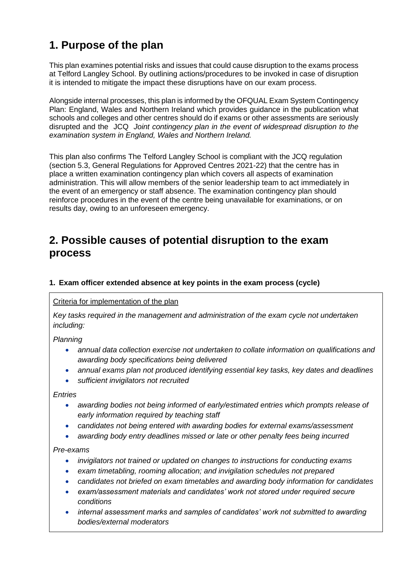## <span id="page-2-0"></span>**1. Purpose of the plan**

This plan examines potential risks and issues that could cause disruption to the exams process at Telford Langley School. By outlining actions/procedures to be invoked in case of disruption it is intended to mitigate the impact these disruptions have on our exam process.

Alongside internal processes, this plan is informed by the OFQUAL Exam System Contingency Plan: England, Wales and Northern Ireland which provides guidance in the publication what schools and colleges and other centres should do if exams or other assessments are seriously disrupted and the JCQ *Joint contingency plan in the event of widespread disruption to the examination system in England, Wales and Northern Ireland.* 

This plan also confirms The Telford Langley School is compliant with the JCQ regulation (section 5.3, General Regulations for Approved Centres 2021-22) that the centre has in place a written examination contingency plan which covers all aspects of examination administration. This will allow members of the senior leadership team to act immediately in the event of an emergency or staff absence. The examination contingency plan should reinforce procedures in the event of the centre being unavailable for examinations, or on results day, owing to an unforeseen emergency.

## <span id="page-2-1"></span>**2. Possible causes of potential disruption to the exam process**

#### <span id="page-2-2"></span>**1. Exam officer extended absence at key points in the exam process (cycle)**

## Criteria for implementation of the plan

*Key tasks required in the management and administration of the exam cycle not undertaken including:*

*Planning*

- *annual data collection exercise not undertaken to collate information on qualifications and awarding body specifications being delivered*
- *annual exams plan not produced identifying essential key tasks, key dates and deadlines*
- *sufficient invigilators not recruited*

*Entries*

- *awarding bodies not being informed of early/estimated entries which prompts release of early information required by teaching staff*
- *candidates not being entered with awarding bodies for external exams/assessment*
- *awarding body entry deadlines missed or late or other penalty fees being incurred*

*Pre-exams*

- *invigilators not trained or updated on changes to instructions for conducting exams*
- *exam timetabling, rooming allocation; and invigilation schedules not prepared*
- *candidates not briefed on exam timetables and awarding body information for candidates*
- *exam/assessment materials and candidates' work not stored under required secure conditions*
- *internal assessment marks and samples of candidates' work not submitted to awarding bodies/external moderators*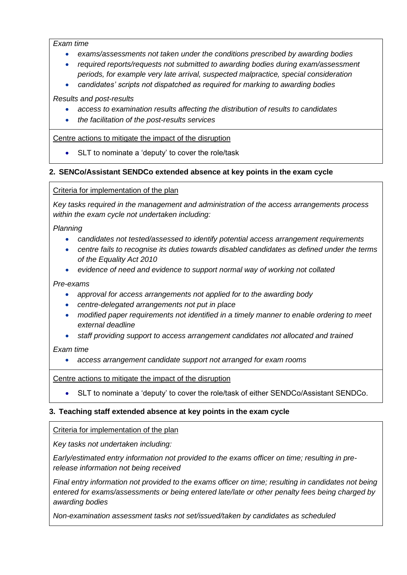*Exam time*

- *exams/assessments not taken under the conditions prescribed by awarding bodies*
- *required reports/requests not submitted to awarding bodies during exam/assessment periods, for example very late arrival, suspected malpractice, special consideration*
- *candidates' scripts not dispatched as required for marking to awarding bodies*

*Results and post-results*

- *access to examination results affecting the distribution of results to candidates*
- *the facilitation of the post-results services*

#### Centre actions to mitigate the impact of the disruption

• SLT to nominate a 'deputy' to cover the role/task

#### <span id="page-3-0"></span>**2. SENCo/Assistant SENDCo extended absence at key points in the exam cycle**

Criteria for implementation of the plan

*Key tasks required in the management and administration of the access arrangements process within the exam cycle not undertaken including:*

*Planning*

- *candidates not tested/assessed to identify potential access arrangement requirements*
- *centre fails to recognise its duties towards disabled candidates as defined under the terms of the Equality Act 2010*
- *evidence of need and evidence to support normal way of working not collated*

#### *Pre-exams*

- *approval for access arrangements not applied for to the awarding body*
- *centre-delegated arrangements not put in place*
- *modified paper requirements not identified in a timely manner to enable ordering to meet external deadline*
- *staff providing support to access arrangement candidates not allocated and trained*

*Exam time*

• *access arrangement candidate support not arranged for exam rooms*

Centre actions to mitigate the impact of the disruption

• SLT to nominate a 'deputy' to cover the role/task of either SENDCo/Assistant SENDCo.

## <span id="page-3-1"></span>**3. Teaching staff extended absence at key points in the exam cycle**

Criteria for implementation of the plan

*Key tasks not undertaken including:*

*Early/estimated entry information not provided to the exams officer on time; resulting in prerelease information not being received*

*Final entry information not provided to the exams officer on time; resulting in candidates not being entered for exams/assessments or being entered late/late or other penalty fees being charged by awarding bodies*

*Non-examination assessment tasks not set/issued/taken by candidates as scheduled*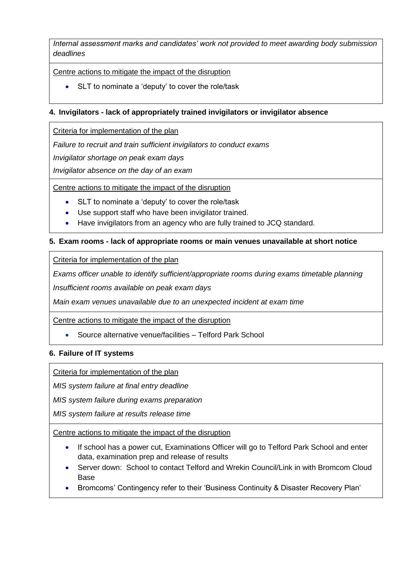*Internal assessment marks and candidates' work not provided to meet awarding body submission deadlines*

Centre actions to mitigate the impact of the disruption

• SLT to nominate a 'deputy' to cover the role/task

#### <span id="page-4-0"></span>**4. Invigilators - lack of appropriately trained invigilators or invigilator absence**

Criteria for implementation of the plan

*Failure to recruit and train sufficient invigilators to conduct exams*

*Invigilator shortage on peak exam days*

*Invigilator absence on the day of an exam*

Centre actions to mitigate the impact of the disruption

- SLT to nominate a 'deputy' to cover the role/task
- Use support staff who have been invigilator trained.
- Have invigilators from an agency who are fully trained to JCQ standard.

## <span id="page-4-1"></span>**5. Exam rooms - lack of appropriate rooms or main venues unavailable at short notice**

Criteria for implementation of the plan

*Exams officer unable to identify sufficient/appropriate rooms during exams timetable planning*

*Insufficient rooms available on peak exam days*

*Main exam venues unavailable due to an unexpected incident at exam time*

Centre actions to mitigate the impact of the disruption

• Source alternative venue/facilities – Telford Park School

#### <span id="page-4-2"></span>**6. Failure of IT systems**

Criteria for implementation of the plan

*MIS system failure at final entry deadline*

*MIS system failure during exams preparation*

*MIS system failure at results release time*

Centre actions to mitigate the impact of the disruption

- If school has a power cut, Examinations Officer will go to Telford Park School and enter data, examination prep and release of results
- Server down: School to contact Telford and Wrekin Council/Link in with Bromcom Cloud Base
- Bromcoms' Contingency refer to their 'Business Continuity & Disaster Recovery Plan'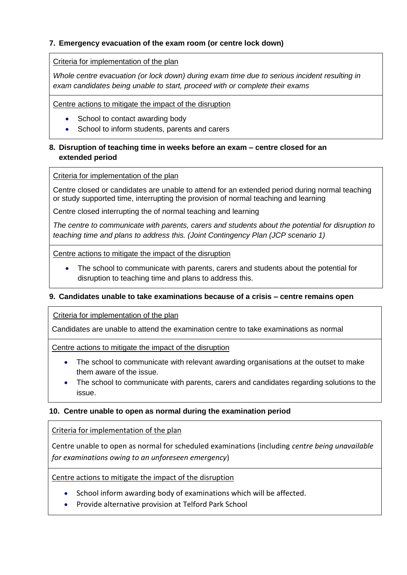## <span id="page-5-0"></span>**7. Emergency evacuation of the exam room (or centre lock down)**

Criteria for implementation of the plan

*Whole centre evacuation (or lock down) during exam time due to serious incident resulting in exam candidates being unable to start, proceed with or complete their exams*

Centre actions to mitigate the impact of the disruption

- School to contact awarding body
- School to inform students, parents and carers

## <span id="page-5-1"></span>**8. Disruption of teaching time in weeks before an exam – centre closed for an extended period**

#### Criteria for implementation of the plan

Centre closed or candidates are unable to attend for an extended period during normal teaching or study supported time, interrupting the provision of normal teaching and learning

Centre closed interrupting the of normal teaching and learning

*The centre to communicate with parents, carers and students about the potential for disruption to teaching time and plans to address this. (Joint Contingency Plan (JCP scenario 1)*

Centre actions to mitigate the impact of the disruption

• The school to communicate with parents, carers and students about the potential for disruption to teaching time and plans to address this.

## <span id="page-5-2"></span>**9. Candidates unable to take examinations because of a crisis – centre remains open**

Criteria for implementation of the plan

Candidates are unable to attend the examination centre to take examinations as normal

Centre actions to mitigate the impact of the disruption

- The school to communicate with relevant awarding organisations at the outset to make them aware of the issue.
- The school to communicate with parents, carers and candidates regarding solutions to the issue.

## <span id="page-5-3"></span>**10. Centre unable to open as normal during the examination period**

Criteria for implementation of the plan

Centre unable to open as normal for scheduled examinations (including *centre being unavailable for examinations owing to an unforeseen emergency*)

Centre actions to mitigate the impact of the disruption

- School inform awarding body of examinations which will be affected.
- Provide alternative provision at Telford Park School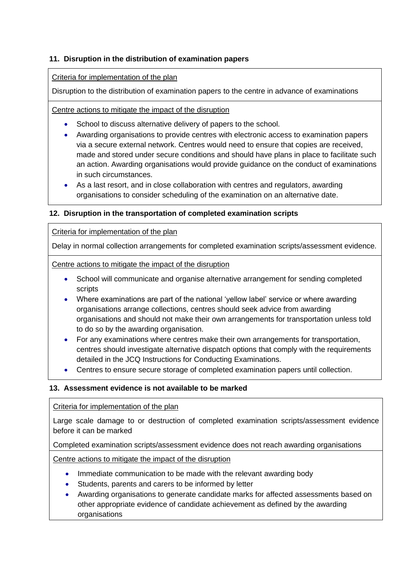## <span id="page-6-0"></span>**11. Disruption in the distribution of examination papers**

#### Criteria for implementation of the plan

Disruption to the distribution of examination papers to the centre in advance of examinations

Centre actions to mitigate the impact of the disruption

- School to discuss alternative delivery of papers to the school.
- Awarding organisations to provide centres with electronic access to examination papers via a secure external network. Centres would need to ensure that copies are received, made and stored under secure conditions and should have plans in place to facilitate such an action. Awarding organisations would provide guidance on the conduct of examinations in such circumstances.
- As a last resort, and in close collaboration with centres and regulators, awarding organisations to consider scheduling of the examination on an alternative date.

## <span id="page-6-1"></span>**12. Disruption in the transportation of completed examination scripts**

#### Criteria for implementation of the plan

Delay in normal collection arrangements for completed examination scripts/assessment evidence.

Centre actions to mitigate the impact of the disruption

- School will communicate and organise alternative arrangement for sending completed scripts
- Where examinations are part of the national 'yellow label' service or where awarding organisations arrange collections, centres should seek advice from awarding organisations and should not make their own arrangements for transportation unless told to do so by the awarding organisation.
- For any examinations where centres make their own arrangements for transportation, centres should investigate alternative dispatch options that comply with the requirements detailed in the JCQ Instructions for Conducting Examinations.
- Centres to ensure secure storage of completed examination papers until collection.

## <span id="page-6-2"></span>**13. Assessment evidence is not available to be marked**

#### Criteria for implementation of the plan

Large scale damage to or destruction of completed examination scripts/assessment evidence before it can be marked

Completed examination scripts/assessment evidence does not reach awarding organisations

Centre actions to mitigate the impact of the disruption

- Immediate communication to be made with the relevant awarding body
- Students, parents and carers to be informed by letter
- Awarding organisations to generate candidate marks for affected assessments based on other appropriate evidence of candidate achievement as defined by the awarding organisations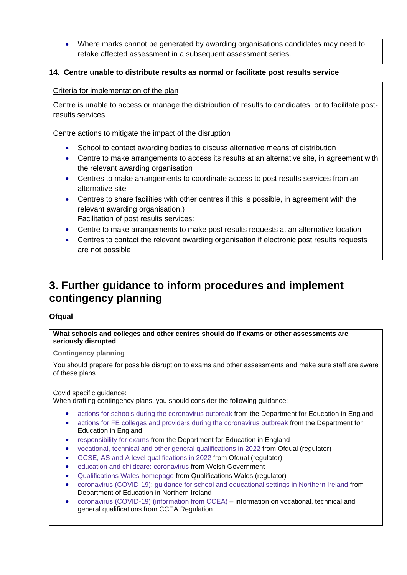• Where marks cannot be generated by awarding organisations candidates may need to retake affected assessment in a subsequent assessment series.

#### <span id="page-7-0"></span>**14. Centre unable to distribute results as normal or facilitate post results service**

#### Criteria for implementation of the plan

Centre is unable to access or manage the distribution of results to candidates, or to facilitate postresults services

#### Centre actions to mitigate the impact of the disruption

- School to contact awarding bodies to discuss alternative means of distribution
- Centre to make arrangements to access its results at an alternative site, in agreement with the relevant awarding organisation
- Centres to make arrangements to coordinate access to post results services from an alternative site
- Centres to share facilities with other centres if this is possible, in agreement with the relevant awarding organisation.) Facilitation of post results services:
- Centre to make arrangements to make post results requests at an alternative location
- Centres to contact the relevant awarding organisation if electronic post results requests are not possible

## <span id="page-7-1"></span>**3. Further guidance to inform procedures and implement contingency planning**

#### <span id="page-7-2"></span>**Ofqual**

#### **What schools and colleges and other centres should do if exams or other assessments are seriously disrupted**

**Contingency planning**

You should prepare for possible disruption to exams and other assessments and make sure staff are aware of these plans.

<span id="page-7-3"></span>Covid specific quidance:

When drafting contingency plans, you should consider the following guidance:

- actions for schools during the [coronavirus](https://www.gov.uk/government/publications/actions-for-schools-during-the-coronavirus-outbreak) outbreak from the Department for Education in England
- actions for FE colleges and providers during the [coronavirus](https://www.gov.uk/government/publications/coronavirus-covid-19-maintaining-further-education-provision) outbreak from the Department for Education in England
- [responsibility](https://www.gov.uk/government/publications/responsibility-for-autumn-gcse-as-and-a-level-exam-series) for exams from the Department for Education in England
- vocational, technical and other general [qualifications](https://www.gov.uk/government/collections/vocational-technical-and-other-general-qualifications-in-2022) in 2022 from Ofqual (regulator)
- GCSE, AS and A level [qualifications](https://www.gov.uk/government/collections/gcse-as-and-a-level-qualifications-in-2022) in 2022 from Ofqual (regulator)
- education and childcare: [coronavirus](https://gov.wales/education-coronavirus) from Welsh Government
- [Qualifications](https://www.qualificationswales.org/english/) Wales homepage from Qualifications Wales (regulator)
- coronavirus [\(COVID-19\):](https://www.education-ni.gov.uk/publications/coronavirus-covid-19-guidance-school-and-educational-settings-northern-ireland) guidance for school and educational settings in Northern Ireland from Department of Education in Northern Ireland
- coronavirus (COVID-19) [\(information](https://ccea.org.uk/regulation/coronavirus) from CCEA) information on vocational, technical and general qualifications from CCEA Regulation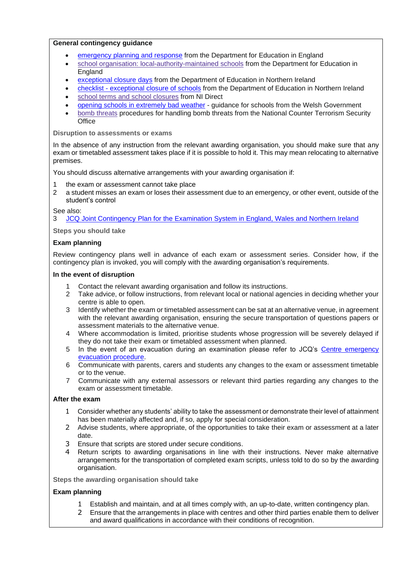#### **General contingency guidance**

- [emergency](https://www.gov.uk/guidance/emergencies-and-severe-weather-schools-and-early-years-settings) planning and response from the Department for Education in England
- school organisation: [local-authority-maintained](https://www.gov.uk/government/publications/school-organisation-maintained-schools) schools from the Department for Education in England
- [exceptional](https://www.education-ni.gov.uk/articles/exceptional-closure-days) closure days from the Department of Education in Northern Ireland
- checklist [exceptional](https://www.education-ni.gov.uk/publications/checklist-exceptional-closure-schools) closure of schools from the Department of Education in Northern Ireland
- school terms and school [closures](https://www.nidirect.gov.uk/articles/school-terms-and-school-closures) from NI Direct
- opening schools in [extremely](https://gov.wales/opening-schools-extremely-bad-weather-guidance-schools) bad weather guidance for schools from the Welsh Government
- bomb [threats](https://www.gov.uk/government/publications/crowded-places-guidance/bomb-threats) procedures for handling bomb threats from the National Counter Terrorism Security **Office**

**Disruption to assessments or exams**

In the absence of any instruction from the relevant awarding organisation, you should make sure that any exam or timetabled assessment takes place if it is possible to hold it. This may mean relocating to alternative premises.

You should discuss alternative arrangements with your awarding organisation if:

- 1 the exam or assessment cannot take place
- 2 a student misses an exam or loses their assessment due to an emergency, or other event, outside of the student's control

See also:

3 JCQ Joint [Contingency](https://www.jcq.org.uk/exams-office/other-documents/jcq-joint-contingency-plan/) Plan for the Examination System in England, Wales and Northern Ireland

**Steps you should take**

#### **Exam planning**

Review contingency plans well in advance of each exam or assessment series. Consider how, if the contingency plan is invoked, you will comply with the awarding organisation's requirements.

#### **In the event of disruption**

- 1 Contact the relevant awarding organisation and follow its instructions.
- 2 Take advice, or follow instructions, from relevant local or national agencies in deciding whether your centre is able to open.
- 3 Identify whether the exam or timetabled assessment can be sat at an alternative venue, in agreement with the relevant awarding organisation, ensuring the secure transportation of questions papers or assessment materials to the alternative venue.
- 4 Where accommodation is limited, prioritise students whose progression will be severely delayed if they do not take their exam or timetabled assessment when planned.
- 5 In the event of an evacuation during an examination please refer to JCQ's Centre [emergency](https://www.jcq.org.uk/exams-office/ice---instructions-for-conducting-examinations/centre-emergency-evacuation-procedure) [evacuation](https://www.jcq.org.uk/exams-office/ice---instructions-for-conducting-examinations/centre-emergency-evacuation-procedure) procedure.
- 6 Communicate with parents, carers and students any changes to the exam or assessment timetable or to the venue.
- 7 Communicate with any external assessors or relevant third parties regarding any changes to the exam or assessment timetable.

#### **After the exam**

- 1 Consider whether any students' ability to take the assessment or demonstrate their level of attainment has been materially affected and, if so, apply for special consideration.
- 2 Advise students, where appropriate, of the opportunities to take their exam or assessment at a later date.
- 3 Ensure that scripts are stored under secure conditions.
- 4 Return scripts to awarding organisations in line with their instructions. Never make alternative arrangements for the transportation of completed exam scripts, unless told to do so by the awarding organisation.

**Steps the awarding organisation should take**

#### **Exam planning**

- 1 Establish and maintain, and at all times comply with, an up-to-date, written contingency plan.
- 2 Ensure that the arrangements in place with centres and other third parties enable them to deliver and award qualifications in accordance with their conditions of recognition.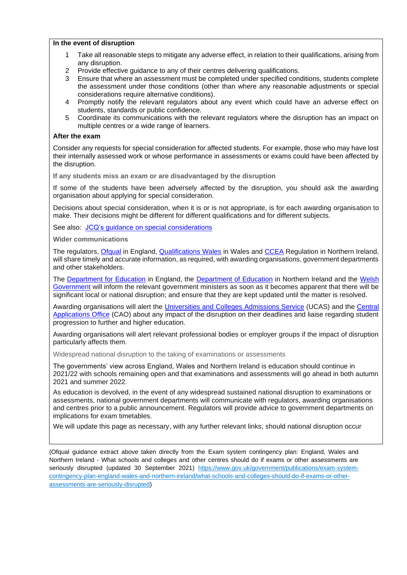#### **In the event of disruption**

- 1 Take all reasonable steps to mitigate any adverse effect, in relation to their qualifications, arising from any disruption.
- 2 Provide effective guidance to any of their centres delivering qualifications.
- 3 Ensure that where an assessment must be completed under specified conditions, students complete the assessment under those conditions (other than where any reasonable adjustments or special considerations require alternative conditions).
- 4 Promptly notify the relevant regulators about any event which could have an adverse effect on students, standards or public confidence.
- 5 Coordinate its communications with the relevant regulators where the disruption has an impact on multiple centres or a wide range of learners.

#### **After the exam**

Consider any requests for special consideration for affected students. For example, those who may have lost their internally assessed work or whose performance in assessments or exams could have been affected by the disruption.

**If any students miss an exam or are disadvantaged by the disruption**

If some of the students have been adversely affected by the disruption, you should ask the awarding organisation about applying for special consideration.

Decisions about special consideration, when it is or is not appropriate, is for each awarding organisation to make. Their decisions might be different for different qualifications and for different subjects.

See also: JCQ's guidance on special [considerations](https://www.jcq.org.uk/exams-office/access-arrangements-and-special-consideration/regulations-and-guidance)

**Wider communications**

The regulators, [Ofqual](https://www.gov.uk/ofqual) in England, [Qualifications](http://qualificationswales.org/) Wales in Wales and [CCEA](http://ccea.org.uk/) Regulation in Northern Ireland, will share timely and accurate information, as required, with awarding organisations, government departments and other stakeholders.

The [Department](https://www.education-ni.gov.uk/) for Education in England, the Department of Education in Northern Ireland and the [Welsh](http://gov.wales/topics/educationandskills/?lang=en) [Government](http://gov.wales/topics/educationandskills/?lang=en) will inform the relevant government ministers as soon as it becomes apparent that there will be significant local or national disruption; and ensure that they are kept updated until the matter is resolved.

Awarding organisations will alert the [Universities](https://www.ucas.com/) and Colleges Admissions Service (UCAS) and the [Central](http://www.cao.ie/) [Applications](http://www.cao.ie/) Office (CAO) about any impact of the disruption on their deadlines and liaise regarding student progression to further and higher education.

Awarding organisations will alert relevant professional bodies or employer groups if the impact of disruption particularly affects them.

<span id="page-9-0"></span>Widespread national disruption to the taking of examinations or assessments

The governments' view across England, Wales and Northern Ireland is education should continue in 2021/22 with schools remaining open and that examinations and assessments will go ahead in both autumn 2021 and summer 2022.

As education is devolved, in the event of any widespread sustained national disruption to examinations or assessments, national government departments will communicate with regulators, awarding organisations and centres prior to a public announcement. Regulators will provide advice to government departments on implications for exam timetables.

We will update this page as necessary, with any further relevant links, should national disruption occur

(Ofqual guidance extract above taken directly from the Exam system contingency plan: England, Wales and Northern Ireland - What schools and colleges and other centres should do if exams or other assessments are seriously disrupted (updated 30 September 2021) [https://www.gov.uk/government/publications/exam-system](https://www.gov.uk/government/publications/exam-system-contingency-plan-england-wales-and-northern-ireland/what-schools-and-colleges-should-do-if-exams-or-other-assessments-are-seriously-disrupted)[contingency-plan-england-wales-and-northern-ireland/what-schools-and-colleges-should-do-if-exams-or-other](https://www.gov.uk/government/publications/exam-system-contingency-plan-england-wales-and-northern-ireland/what-schools-and-colleges-should-do-if-exams-or-other-assessments-are-seriously-disrupted)[assessments-are-seriously-disrupted\)](https://www.gov.uk/government/publications/exam-system-contingency-plan-england-wales-and-northern-ireland/what-schools-and-colleges-should-do-if-exams-or-other-assessments-are-seriously-disrupted)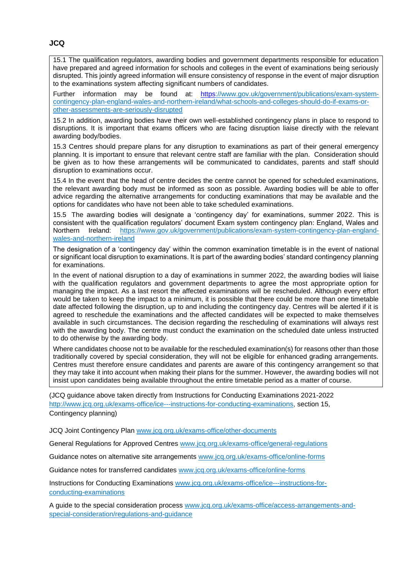<span id="page-10-0"></span>15.1 The qualification regulators, awarding bodies and government departments responsible for education have prepared and agreed information for schools and colleges in the event of examinations being seriously disrupted. This jointly agreed information will ensure consistency of response in the event of major disruption to the examinations system affecting significant numbers of candidates.

Further information may be found at: [https://www.gov.uk/government/publications/exam-system](https://www.gov.uk/government/publications/exam-system-contingency-plan-england-wales-and-northern-ireland/what-schools-and-colleges-should-do-if-exams-or-other-assessments-are-seriously-disrupted)[contingency-plan-england-wales-and-northern-ireland/what-schools-and-colleges-should-do-if-exams-or](https://www.gov.uk/government/publications/exam-system-contingency-plan-england-wales-and-northern-ireland/what-schools-and-colleges-should-do-if-exams-or-other-assessments-are-seriously-disrupted)[other-assessments-are-seriously-disrupted](https://www.gov.uk/government/publications/exam-system-contingency-plan-england-wales-and-northern-ireland/what-schools-and-colleges-should-do-if-exams-or-other-assessments-are-seriously-disrupted)

15.2 In addition, awarding bodies have their own well-established contingency plans in place to respond to disruptions. It is important that exams officers who are facing disruption liaise directly with the relevant awarding body/bodies.

15.3 Centres should prepare plans for any disruption to examinations as part of their general emergency planning. It is important to ensure that relevant centre staff are familiar with the plan. Consideration should be given as to how these arrangements will be communicated to candidates, parents and staff should disruption to examinations occur.

15.4 In the event that the head of centre decides the centre cannot be opened for scheduled examinations, the relevant awarding body must be informed as soon as possible. Awarding bodies will be able to offer advice regarding the alternative arrangements for conducting examinations that may be available and the options for candidates who have not been able to take scheduled examinations.

15.5 The awarding bodies will designate a 'contingency day' for examinations, summer 2022. This is consistent with the qualification regulators' document Exam system contingency plan: England, Wales and Northern Ireland: [https://www.gov.uk/government/publications/exam-system-contingency-plan-england](https://www.gov.uk/government/publications/exam-system-contingency-plan-england-wales-and-northern-ireland)[wales-and-northern-ireland](https://www.gov.uk/government/publications/exam-system-contingency-plan-england-wales-and-northern-ireland)

The designation of a 'contingency day' within the common examination timetable is in the event of national or significant local disruption to examinations. It is part of the awarding bodies' standard contingency planning for examinations.

In the event of national disruption to a day of examinations in summer 2022, the awarding bodies will liaise with the qualification regulators and government departments to agree the most appropriate option for managing the impact. As a last resort the affected examinations will be rescheduled. Although every effort would be taken to keep the impact to a minimum, it is possible that there could be more than one timetable date affected following the disruption, up to and including the contingency day. Centres will be alerted if it is agreed to reschedule the examinations and the affected candidates will be expected to make themselves available in such circumstances. The decision regarding the rescheduling of examinations will always rest with the awarding body. The centre must conduct the examination on the scheduled date unless instructed to do otherwise by the awarding body.

Where candidates choose not to be available for the rescheduled examination(s) for reasons other than those traditionally covered by special consideration, they will not be eligible for enhanced grading arrangements. Centres must therefore ensure candidates and parents are aware of this contingency arrangement so that they may take it into account when making their plans for the summer. However, the awarding bodies will not insist upon candidates being available throughout the entire timetable period as a matter of course.

(JCQ guidance above taken directly from Instructions for Conducting Examinations 2021-2022 http://www.jcq.org.uk/exams-office/ice---jnstructions-for-conducting-examinations, section 15, Contingency planning)

JCQ Joint Contingency Plan [www.jcq.org.uk/exams-office/other-documents](http://www.jcq.org.uk/exams-office/other-documents)

General Regulations for Approved Centres [www.jcq.org.uk/exams-office/general-regulations](http://www.jcq.org.uk/exams-office/general-regulations)

Guidance notes on alternative site arrangements [www.jcq.org.uk/exams-office/online-forms](http://www.jcq.org.uk/exams-office/online-forms)

Guidance notes for transferred candidates [www.jcq.org.uk/exams-office/online-forms](http://www.jcq.org.uk/exams-office/online-forms)

Instructions for Conducting Examinations [www.jcq.org.uk/exams-office/ice---instructions-for](http://www.jcq.org.uk/exams-office/ice---instructions-for-conducting-examinations)[conducting-examinations](http://www.jcq.org.uk/exams-office/ice---instructions-for-conducting-examinations) 

A guide to the special consideration process [www.jcq.org.uk/exams-office/access-arrangements-and](http://www.jcq.org.uk/exams-office/access-arrangements-and-special-consideration/regulations-and-guidance)[special-consideration/regulations-and-guidance](http://www.jcq.org.uk/exams-office/access-arrangements-and-special-consideration/regulations-and-guidance)